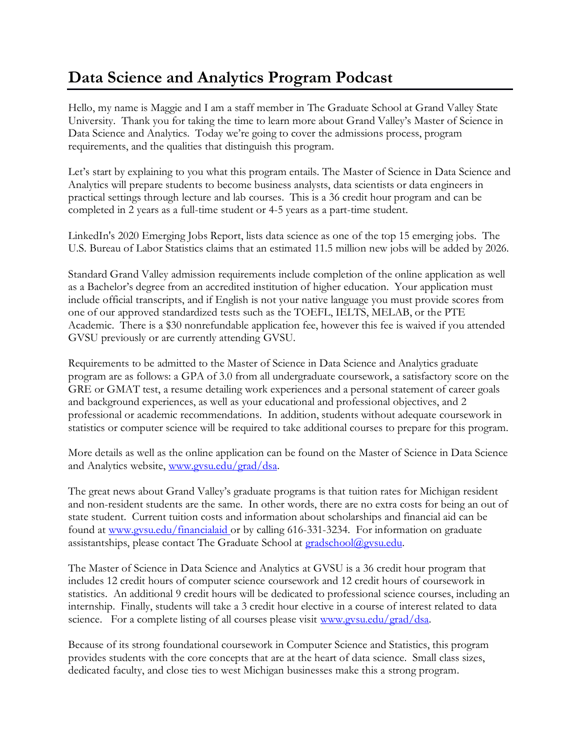## **Data Science and Analytics Program Podcast**

Hello, my name is Maggie and I am a staff member in The Graduate School at Grand Valley State University. Thank you for taking the time to learn more about Grand Valley's Master of Science in Data Science and Analytics. Today we're going to cover the admissions process, program requirements, and the qualities that distinguish this program.

Let's start by explaining to you what this program entails. The Master of Science in Data Science and Analytics will prepare students to become business analysts, data scientists or data engineers in practical settings through lecture and lab courses. This is a 36 credit hour program and can be completed in 2 years as a full-time student or 4-5 years as a part-time student.

LinkedIn's 2020 Emerging Jobs Report, lists data science as one of the top 15 emerging jobs. The U.S. Bureau of Labor Statistics claims that an estimated 11.5 million new jobs will be added by 2026.

Standard Grand Valley admission requirements include completion of the online application as well as a Bachelor's degree from an accredited institution of higher education. Your application must include official transcripts, and if English is not your native language you must provide scores from one of our approved standardized tests such as the TOEFL, IELTS, MELAB, or the PTE Academic. There is a \$30 nonrefundable application fee, however this fee is waived if you attended GVSU previously or are currently attending GVSU.

Requirements to be admitted to the Master of Science in Data Science and Analytics graduate program are as follows: a GPA of 3.0 from all undergraduate coursework, a satisfactory score on the GRE or GMAT test, a resume detailing work experiences and a personal statement of career goals and background experiences, as well as your educational and professional objectives, and 2 professional or academic recommendations. In addition, students without adequate coursework in statistics or computer science will be required to take additional courses to prepare for this program.

More details as well as the online application can be found on the Master of Science in Data Science and Analytics website, [www.gvsu.edu/grad/dsa.](http://www.gvsu.edu/grad/dsa)

The great news about Grand Valley's graduate programs is that tuition rates for Michigan resident and non-resident students are the same. In other words, there are no extra costs for being an out of state student. Current tuition costs and information about scholarships and financial aid can be found at www.gvsu.edu/financialaid or by calling 616-331-3234. For information on graduate assistantships, please contact The Graduate School at [gradschool@gvsu.edu.](mailto:gradschool@gvsu.edu)

The Master of Science in Data Science and Analytics at GVSU is a 36 credit hour program that includes 12 credit hours of computer science coursework and 12 credit hours of coursework in statistics. An additional 9 credit hours will be dedicated to professional science courses, including an internship. Finally, students will take a 3 credit hour elective in a course of interest related to data science. For a complete listing of all courses please visit [www.gvsu.edu/grad/dsa.](http://www.gvsu.edu/grad/dsa)

Because of its strong foundational coursework in Computer Science and Statistics, this program provides students with the core concepts that are at the heart of data science. Small class sizes, dedicated faculty, and close ties to west Michigan businesses make this a strong program.